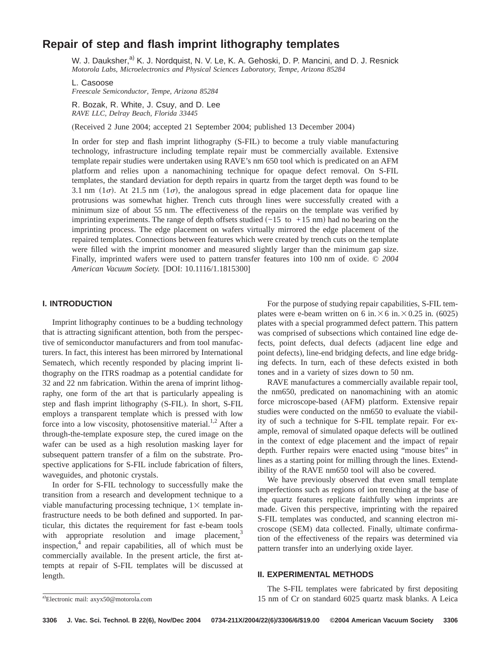# **Repair of step and flash imprint lithography templates**

W. J. Dauksher,<sup>a)</sup> K. J. Nordquist, N. V. Le, K. A. Gehoski, D. P. Mancini, and D. J. Resnick *Motorola Labs, Microelectronics and Physical Sciences Laboratory, Tempe, Arizona 85284*

L. Casoose *Freescale Semiconductor, Tempe, Arizona 85284*

R. Bozak, R. White, J. Csuy, and D. Lee *RAVE LLC, Delray Beach, Florida 33445*

(Received 2 June 2004; accepted 21 September 2004; published 13 December 2004)

In order for step and flash imprint lithography (S-FIL) to become a truly viable manufacturing technology, infrastructure including template repair must be commercially available. Extensive template repair studies were undertaken using RAVE's nm 650 tool which is predicated on an AFM platform and relies upon a nanomachining technique for opaque defect removal. On S-FIL templates, the standard deviation for depth repairs in quartz from the target depth was found to be 3.1 nm  $(1\sigma)$ . At 21.5 nm  $(1\sigma)$ , the analogous spread in edge placement data for opaque line protrusions was somewhat higher. Trench cuts through lines were successfully created with a minimum size of about 55 nm. The effectiveness of the repairs on the template was verified by imprinting experiments. The range of depth offsets studied  $(-15 \text{ to } +15 \text{ nm})$  had no bearing on the imprinting process. The edge placement on wafers virtually mirrored the edge placement of the repaired templates. Connections between features which were created by trench cuts on the template were filled with the imprint monomer and measured slightly larger than the minimum gap size. Finally, imprinted wafers were used to pattern transfer features into 100 nm of oxide. *© 2004 American Vacuum Society.* [DOI: 10.1116/1.1815300]

#### **I. INTRODUCTION**

Imprint lithography continues to be a budding technology that is attracting significant attention, both from the perspective of semiconductor manufacturers and from tool manufacturers. In fact, this interest has been mirrored by International Sematech, which recently responded by placing imprint lithography on the ITRS roadmap as a potential candidate for 32 and 22 nm fabrication. Within the arena of imprint lithography, one form of the art that is particularly appealing is step and flash imprint lithography (S-FIL). In short, S-FIL employs a transparent template which is pressed with low force into a low viscosity, photosensitive material.<sup>1,2</sup> After a through-the-template exposure step, the cured image on the wafer can be used as a high resolution masking layer for subsequent pattern transfer of a film on the substrate. Prospective applications for S-FIL include fabrication of filters, waveguides, and photonic crystals.

In order for S-FIL technology to successfully make the transition from a research and development technique to a viable manufacturing processing technique,  $1\times$  template infrastructure needs to be both defined and supported. In particular, this dictates the requirement for fast e-beam tools with appropriate resolution and image placement, $3$ inspection, $\alpha$  and repair capabilities, all of which must be commercially available. In the present article, the first attempts at repair of S-FIL templates will be discussed at length.

For the purpose of studying repair capabilities, S-FIL templates were e-beam written on 6 in. $\times$  6 in. $\times$  0.25 in. (6025) plates with a special programmed defect pattern. This pattern was comprised of subsections which contained line edge defects, point defects, dual defects (adjacent line edge and point defects), line-end bridging defects, and line edge bridging defects. In turn, each of these defects existed in both tones and in a variety of sizes down to 50 nm.

RAVE manufactures a commercially available repair tool, the nm650, predicated on nanomachining with an atomic force microscope-based (AFM) platform. Extensive repair studies were conducted on the nm650 to evaluate the viability of such a technique for S-FIL template repair. For example, removal of simulated opaque defects will be outlined in the context of edge placement and the impact of repair depth. Further repairs were enacted using "mouse bites" in lines as a starting point for milling through the lines. Extendibility of the RAVE nm650 tool will also be covered.

We have previously observed that even small template imperfections such as regions of ion trenching at the base of the quartz features replicate faithfully when imprints are made. Given this perspective, imprinting with the repaired S-FIL templates was conducted, and scanning electron microscope (SEM) data collected. Finally, ultimate confirmation of the effectiveness of the repairs was determined via pattern transfer into an underlying oxide layer.

# **II. EXPERIMENTAL METHODS**

The S-FIL templates were fabricated by first depositing 15 nm of Cr on standard 6025 quartz mask blanks. A Leica <sup>a</sup>)

a)Electronic mail: axyx50@motorola.com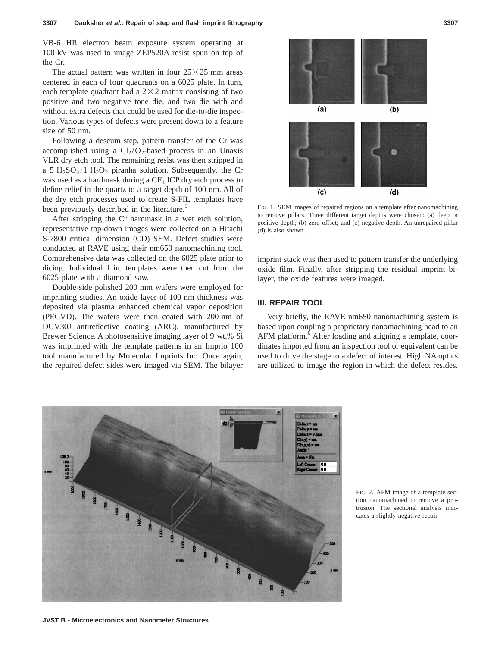VB-6 HR electron beam exposure system operating at 100 kV was used to image ZEP520A resist spun on top of the Cr.

The actual pattern was written in four  $25 \times 25$  mm areas centered in each of four quadrants on a 6025 plate. In turn, each template quadrant had a  $2\times2$  matrix consisting of two positive and two negative tone die, and two die with and without extra defects that could be used for die-to-die inspection. Various types of defects were present down to a feature size of 50 nm.

Following a descum step, pattern transfer of the Cr was accomplished using a  $Cl_2/O_2$ -based process in an Unaxis VLR dry etch tool. The remaining resist was then stripped in a 5 H<sub>2</sub>SO<sub>4</sub>:1 H<sub>2</sub>O<sub>2</sub> piranha solution. Subsequently, the Cr was used as a hardmask during a  $CF_4$  ICP dry etch process to define relief in the quartz to a target depth of 100 nm. All of the dry etch processes used to create S-FIL templates have been previously described in the literature.<sup>5</sup>

After stripping the Cr hardmask in a wet etch solution, representative top-down images were collected on a Hitachi S-7800 critical dimension (CD) SEM. Defect studies were conducted at RAVE using their nm650 nanomachining tool. Comprehensive data was collected on the 6025 plate prior to dicing. Individual 1 in. templates were then cut from the 6025 plate with a diamond saw.

Double-side polished 200 mm wafers were employed for imprinting studies. An oxide layer of 100 nm thickness was deposited via plasma enhanced chemical vapor deposition (PECVD). The wafers were then coated with 200 nm of DUV30J antireflective coating (ARC), manufactured by Brewer Science. A photosensitive imaging layer of 9 wt.% Si was imprinted with the template patterns in an Imprio 100 tool manufactured by Molecular Imprints Inc. Once again, the repaired defect sides were imaged via SEM. The bilayer



FIG. 1. SEM images of repaired regions on a template after nanomachining to remove pillars. Three different target depths were chosen: (a) deep or positive depth; (b) zero offset; and (c) negative depth. An unrepaired pillar (d) is also shown.

imprint stack was then used to pattern transfer the underlying oxide film. Finally, after stripping the residual imprint bilayer, the oxide features were imaged.

# **III. REPAIR TOOL**

Very briefly, the RAVE nm650 nanomachining system is based upon coupling a proprietary nanomachining head to an AFM platform.<sup>6</sup> After loading and aligning a template, coordinates imported from an inspection tool or equivalent can be used to drive the stage to a defect of interest. High NA optics are utilized to image the region in which the defect resides.



FIG. 2. AFM image of a template section nanomachined to remove a protrusion. The sectional analysis indicates a slightly negative repair.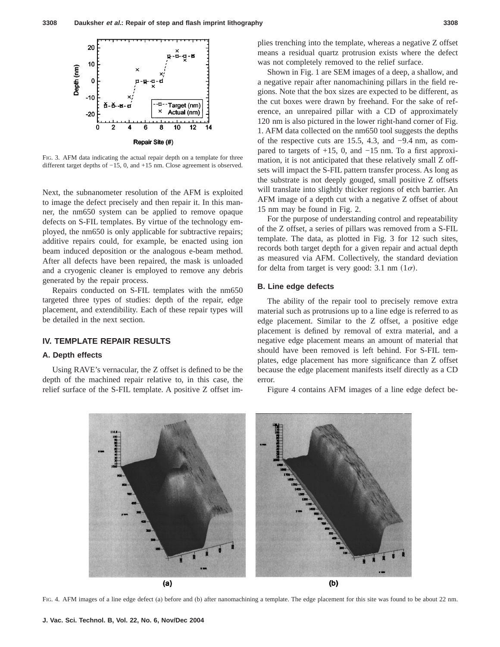

FIG. 3. AFM data indicating the actual repair depth on a template for three different target depths of −15, 0, and +15 nm. Close agreement is observed.

Next, the subnanometer resolution of the AFM is exploited to image the defect precisely and then repair it. In this manner, the nm650 system can be applied to remove opaque defects on S-FIL templates. By virtue of the technology employed, the nm650 is only applicable for subtractive repairs; additive repairs could, for example, be enacted using ion beam induced deposition or the analogous e-beam method. After all defects have been repaired, the mask is unloaded and a cryogenic cleaner is employed to remove any debris generated by the repair process.

Repairs conducted on S-FIL templates with the nm650 targeted three types of studies: depth of the repair, edge placement, and extendibility. Each of these repair types will be detailed in the next section.

# **IV. TEMPLATE REPAIR RESULTS**

#### **A. Depth effects**

Using RAVE's vernacular, the Z offset is defined to be the depth of the machined repair relative to, in this case, the relief surface of the S-FIL template. A positive Z offset implies trenching into the template, whereas a negative Z offset means a residual quartz protrusion exists where the defect was not completely removed to the relief surface.

Shown in Fig. 1 are SEM images of a deep, a shallow, and a negative repair after nanomachining pillars in the field regions. Note that the box sizes are expected to be different, as the cut boxes were drawn by freehand. For the sake of reference, an unrepaired pillar with a CD of approximately 120 nm is also pictured in the lower right-hand corner of Fig. 1. AFM data collected on the nm650 tool suggests the depths of the respective cuts are 15.5, 4.3, and −9.4 nm, as compared to targets of +15, 0, and −15 nm. To a first approximation, it is not anticipated that these relatively small Z offsets will impact the S-FIL pattern transfer process. As long as the substrate is not deeply gouged, small positive Z offsets will translate into slightly thicker regions of etch barrier. An AFM image of a depth cut with a negative Z offset of about 15 nm may be found in Fig. 2.

For the purpose of understanding control and repeatability of the Z offset, a series of pillars was removed from a S-FIL template. The data, as plotted in Fig. 3 for 12 such sites, records both target depth for a given repair and actual depth as measured via AFM. Collectively, the standard deviation for delta from target is very good: 3.1 nm  $(1\sigma)$ .

#### **B. Line edge defects**

The ability of the repair tool to precisely remove extra material such as protrusions up to a line edge is referred to as edge placement. Similar to the Z offset, a positive edge placement is defined by removal of extra material, and a negative edge placement means an amount of material that should have been removed is left behind. For S-FIL templates, edge placement has more significance than Z offset because the edge placement manifests itself directly as a CD error.

Figure 4 contains AFM images of a line edge defect be-



FIG. 4. AFM images of a line edge defect (a) before and (b) after nanomachining a template. The edge placement for this site was found to be about 22 nm.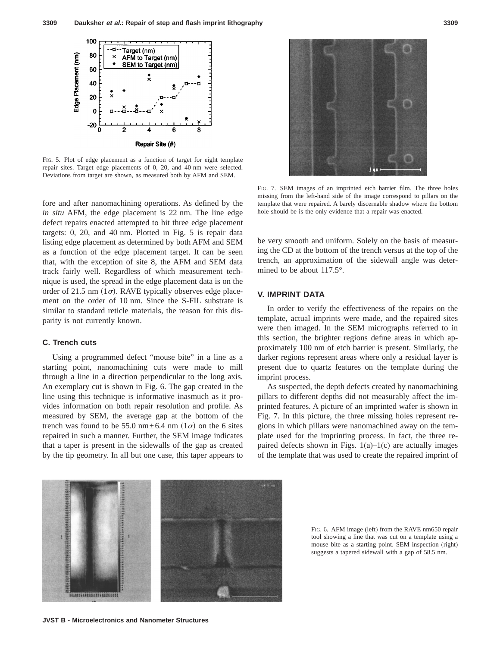

FIG. 5. Plot of edge placement as a function of target for eight template repair sites. Target edge placements of 0, 20, and 40 nm were selected. Deviations from target are shown, as measured both by AFM and SEM.

fore and after nanomachining operations. As defined by the *in situ* AFM, the edge placement is 22 nm. The line edge defect repairs enacted attempted to hit three edge placement targets: 0, 20, and 40 nm. Plotted in Fig. 5 is repair data listing edge placement as determined by both AFM and SEM as a function of the edge placement target. It can be seen that, with the exception of site 8, the AFM and SEM data track fairly well. Regardless of which measurement technique is used, the spread in the edge placement data is on the order of 21.5 nm ( $1\sigma$ ). RAVE typically observes edge placement on the order of 10 nm. Since the S-FIL substrate is similar to standard reticle materials, the reason for this disparity is not currently known.

#### **C. Trench cuts**

Using a programmed defect "mouse bite" in a line as a starting point, nanomachining cuts were made to mill through a line in a direction perpendicular to the long axis. An exemplary cut is shown in Fig. 6. The gap created in the line using this technique is informative inasmuch as it provides information on both repair resolution and profile. As measured by SEM, the average gap at the bottom of the trench was found to be 55.0 nm $\pm$ 6.4 nm (1 $\sigma$ ) on the 6 sites repaired in such a manner. Further, the SEM image indicates that a taper is present in the sidewalls of the gap as created by the tip geometry. In all but one case, this taper appears to



FIG. 7. SEM images of an imprinted etch barrier film. The three holes missing from the left-hand side of the image correspond to pillars on the template that were repaired. A barely discernable shadow where the bottom hole should be is the only evidence that a repair was enacted.

be very smooth and uniform. Solely on the basis of measuring the CD at the bottom of the trench versus at the top of the trench, an approximation of the sidewall angle was determined to be about 117.5°.

# **V. IMPRINT DATA**

In order to verify the effectiveness of the repairs on the template, actual imprints were made, and the repaired sites were then imaged. In the SEM micrographs referred to in this section, the brighter regions define areas in which approximately 100 nm of etch barrier is present. Similarly, the darker regions represent areas where only a residual layer is present due to quartz features on the template during the imprint process.

As suspected, the depth defects created by nanomachining pillars to different depths did not measurably affect the imprinted features. A picture of an imprinted wafer is shown in Fig. 7. In this picture, the three missing holes represent regions in which pillars were nanomachined away on the template used for the imprinting process. In fact, the three repaired defects shown in Figs.  $1(a)-1(c)$  are actually images of the template that was used to create the repaired imprint of



FIG. 6. AFM image (left) from the RAVE nm650 repair tool showing a line that was cut on a template using a mouse bite as a starting point. SEM inspection (right) suggests a tapered sidewall with a gap of 58.5 nm.

**JVST B - Microelectronics and Nanometer Structures**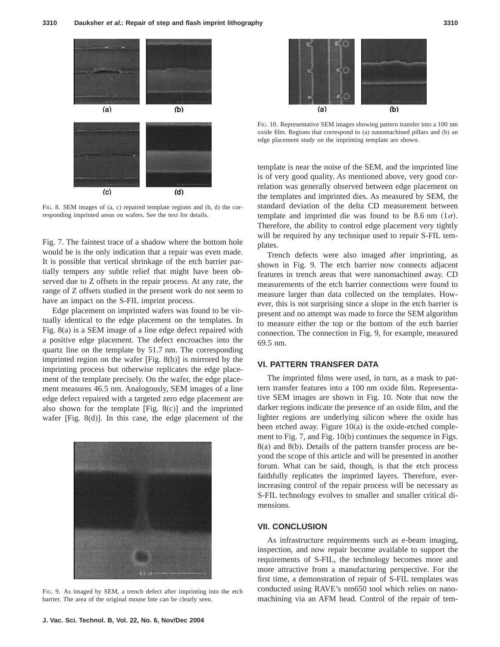

FIG. 8. SEM images of (a, c) repaired template regions and (b, d) the corresponding imprinted areas on wafers. See the text for details.

Fig. 7. The faintest trace of a shadow where the bottom hole would be is the only indication that a repair was even made. It is possible that vertical shrinkage of the etch barrier partially tempers any subtle relief that might have been observed due to Z offsets in the repair process. At any rate, the range of Z offsets studied in the present work do not seem to have an impact on the S-FIL imprint process.

Edge placement on imprinted wafers was found to be virtually identical to the edge placement on the templates. In Fig. 8(a) is a SEM image of a line edge defect repaired with a positive edge placement. The defect encroaches into the quartz line on the template by 51.7 nm. The corresponding imprinted region on the wafer [Fig. 8(b)] is mirrored by the imprinting process but otherwise replicates the edge placement of the template precisely. On the wafer, the edge placement measures 46.5 nm. Analogously, SEM images of a line edge defect repaired with a targeted zero edge placement are also shown for the template  $[Fig. 8(c)]$  and the imprinted wafer [Fig. 8(d)]. In this case, the edge placement of the



FIG. 9. As imaged by SEM, a trench defect after imprinting into the etch barrier. The area of the original mouse bite can be clearly seen.



FIG. 10. Representative SEM images showing pattern transfer into a 100 nm oxide film. Regions that correspond to (a) nanomachined pillars and (b) an edge placement study on the imprinting template are shown.

template is near the noise of the SEM, and the imprinted line is of very good quality. As mentioned above, very good correlation was generally observed between edge placement on the templates and imprinted dies. As measured by SEM, the standard deviation of the delta CD measurement between template and imprinted die was found to be 8.6 nm  $(1\sigma)$ . Therefore, the ability to control edge placement very tightly will be required by any technique used to repair S-FIL templates.

Trench defects were also imaged after imprinting, as shown in Fig. 9. The etch barrier now connects adjacent features in trench areas that were nanomachined away. CD measurements of the etch barrier connections were found to measure larger than data collected on the templates. However, this is not surprising since a slope in the etch barrier is present and no attempt was made to force the SEM algorithm to measure either the top or the bottom of the etch barrier connection. The connection in Fig. 9, for example, measured 69.5 nm.

# **VI. PATTERN TRANSFER DATA**

The imprinted films were used, in turn, as a mask to pattern transfer features into a 100 nm oxide film. Representative SEM images are shown in Fig. 10. Note that now the darker regions indicate the presence of an oxide film, and the lighter regions are underlying silicon where the oxide has been etched away. Figure 10(a) is the oxide-etched complement to Fig. 7, and Fig. 10(b) continues the sequence in Figs. 8(a) and 8(b). Details of the pattern transfer process are beyond the scope of this article and will be presented in another forum. What can be said, though, is that the etch process faithfully replicates the imprinted layers. Therefore, everincreasing control of the repair process will be necessary as S-FIL technology evolves to smaller and smaller critical dimensions.

# **VII. CONCLUSION**

As infrastructure requirements such as e-beam imaging, inspection, and now repair become available to support the requirements of S-FIL, the technology becomes more and more attractive from a manufacturing perspective. For the first time, a demonstration of repair of S-FIL templates was conducted using RAVE's nm650 tool which relies on nanomachining via an AFM head. Control of the repair of tem